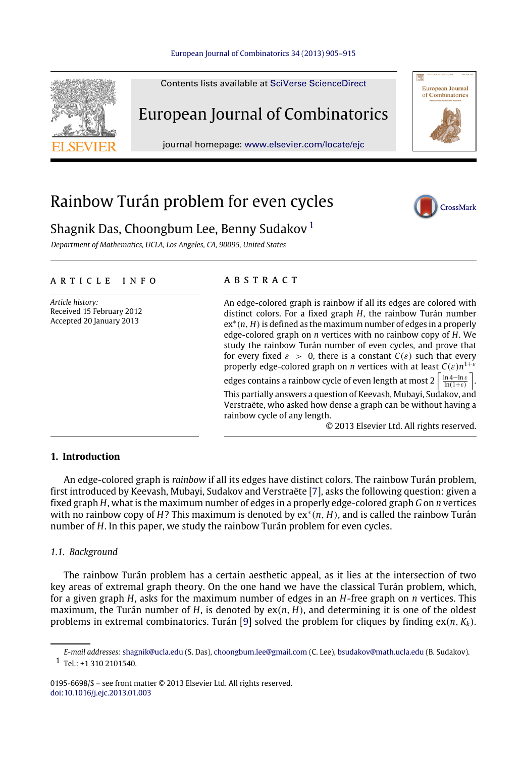#### [European Journal of Combinatorics 34 \(2013\) 905–915](http://dx.doi.org/10.1016/j.ejc.2013.01.003)



# Rainbow Turán problem for even cycles



# Shagnik Das, Choongbum Lee, Benny Sudakov<sup>[1](#page-0-0)</sup>

*Department of Mathematics, UCLA, Los Angeles, CA, 90095, United States*

# ARTICLE INFO

*Article history:* Received 15 February 2012 Accepted 20 January 2013

# a b s t r a c t

| An edge-colored graph is rainbow if all its edges are colored with<br>distinct colors. For a fixed graph $H$ , the rainbow Turán number<br>$ex*(n, H)$ is defined as the maximum number of edges in a properly<br>edge-colored graph on $n$ vertices with no rainbow copy of $H$ . We<br>study the rainbow Turán number of even cycles, and prove that<br>for every fixed $\varepsilon > 0$ , there is a constant $C(\varepsilon)$ such that every<br>properly edge-colored graph on <i>n</i> vertices with at least $C(\varepsilon)n^{1+\varepsilon}$ |
|--------------------------------------------------------------------------------------------------------------------------------------------------------------------------------------------------------------------------------------------------------------------------------------------------------------------------------------------------------------------------------------------------------------------------------------------------------------------------------------------------------------------------------------------------------|
| edges contains a rainbow cycle of even length at most $2\left[\frac{\ln 4 - \ln \varepsilon}{\ln(1+\varepsilon)}\right]$ .                                                                                                                                                                                                                                                                                                                                                                                                                             |
| This partially answers a question of Keevash, Mubayi, Sudakov, and<br>Verstraëte, who asked how dense a graph can be without having a<br>rainbow cycle of any length.                                                                                                                                                                                                                                                                                                                                                                                  |
| © 2013 Elsevier Ltd. All rights reserved.                                                                                                                                                                                                                                                                                                                                                                                                                                                                                                              |

# **1. Introduction**

An edge-colored graph is *rainbow* if all its edges have distinct colors. The rainbow Turán problem, first introduced by Keevash, Mubayi, Sudakov and Verstraëte [\[7\]](#page-10-0), asks the following question: given a fixed graph *H*, what is the maximum number of edges in a properly edge-colored graph *G* on *n* vertices with no rainbow copy of *H*? This maximum is denoted by ex<sup>∗</sup> (*n*, *H*), and is called the rainbow Turán number of *H*. In this paper, we study the rainbow Turán problem for even cycles.

# *1.1. Background*

The rainbow Turán problem has a certain aesthetic appeal, as it lies at the intersection of two key areas of extremal graph theory. On the one hand we have the classical Turán problem, which, for a given graph *H*, asks for the maximum number of edges in an *H*-free graph on *n* vertices. This maximum, the Turán number of *H*, is denoted by ex(*n*, *H*), and determining it is one of the oldest problems in extremal combinatorics. Turán [\[9\]](#page-10-1) solved the problem for cliques by finding  $ex(n, K_k)$ .

0195-6698/\$ – see front matter © 2013 Elsevier Ltd. All rights reserved. [doi:10.1016/j.ejc.2013.01.003](http://dx.doi.org/10.1016/j.ejc.2013.01.003)

<span id="page-0-0"></span>*E-mail addresses:* [shagnik@ucla.edu](mailto:shagnik@ucla.edu) (S. Das), [choongbum.lee@gmail.com](mailto:choongbum.lee@gmail.com) (C. Lee), [bsudakov@math.ucla.edu](mailto:bsudakov@math.ucla.edu) (B. Sudakov). 1 Tel.: +1 310 2101540.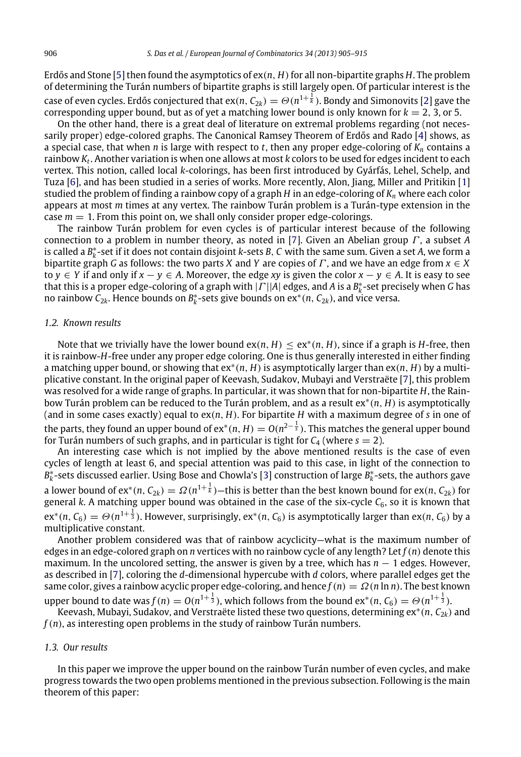Erdős and Stone [\[5\]](#page-10-2) then found the asymptotics of  $ex(n, H)$  for all non-bipartite graphs  $H$ . The problem of determining the Turán numbers of bipartite graphs is still largely open. Of particular interest is the case of even cycles. Erdős conjectured that ex $(n,\, \mathcal{C}_{2k})=\varTheta(n^{1+\frac{1}{k}}).$  Bondy and Simonovits [\[2\]](#page-10-3) gave the corresponding upper bound, but as of yet a matching lower bound is only known for  $k = 2, 3$ , or 5.

On the other hand, there is a great deal of literature on extremal problems regarding (not necessarily proper) edge-colored graphs. The Canonical Ramsey Theorem of Erdős and Rado [\[4\]](#page-10-4) shows, as a special case, that when *n* is large with respect to *t*, then any proper edge-coloring of *K<sup>n</sup>* contains a rainbow *K<sup>t</sup>* . Another variation is when one allows at most *k* colors to be used for edges incident to each vertex. This notion, called local *k*-colorings, has been first introduced by Gyárfás, Lehel, Schelp, and Tuza [\[6\]](#page-10-5), and has been studied in a series of works. More recently, Alon, Jiang, Miller and Pritikin [\[1\]](#page-10-6) studied the problem of finding a rainbow copy of a graph *H* in an edge-coloring of *K<sup>n</sup>* where each color appears at most *m* times at any vertex. The rainbow Turán problem is a Turán-type extension in the case  $m = 1$ . From this point on, we shall only consider proper edge-colorings.

The rainbow Turán problem for even cycles is of particular interest because of the following connection to a problem in number theory, as noted in [\[7\]](#page-10-0). Given an Abelian group Γ , a subset *A* is called a *B* ∗ *k* -set if it does not contain disjoint *k*-sets *B*, *C* with the same sum. Given a set *A*, we form a bipartite graph *G* as follows: the two parts *X* and *Y* are copies of *Γ*, and we have an edge from  $x \in X$ to *y* ∈ *Y* if and only if  $x - y \in A$ . Moreover, the edge *xy* is given the color  $x - y \in A$ . It is easy to see that this is a proper edge-coloring of a graph with |Γ ||*A*| edges, and *A* is a *B* ∗ *k* -set precisely when *G* has no rainbow  $\hat{\mathsf{C}}_{2k}$ . Hence bounds on  $B_k^*$ -sets give bounds on  $\mathrm{ex}^*(n, \mathsf{C}_{2k})$ , and vice versa.

#### *1.2. Known results*

Note that we trivially have the lower bound  $ex(n, H) \le ex^*(n, H)$ , since if a graph is H-free, then it is rainbow-*H*-free under any proper edge coloring. One is thus generally interested in either finding a matching upper bound, or showing that ex<sup>∗</sup> (*n*, *H*) is asymptotically larger than ex(*n*, *H*) by a multiplicative constant. In the original paper of Keevash, Sudakov, Mubayi and Verstraëte [\[7\]](#page-10-0), this problem was resolved for a wide range of graphs. In particular, it was shown that for non-bipartite *H*, the Rainbow Turán problem can be reduced to the Turán problem, and as a result ex<sup>∗</sup> (*n*, *H*) is asymptotically (and in some cases exactly) equal to ex(*n*, *H*). For bipartite *H* with a maximum degree of *s* in one of the parts, they found an upper bound of ex\*(n,  $H$ )  $=O(n^{2-\frac{1}{s}}).$  This matches the general upper bound for Turán numbers of such graphs, and in particular is tight for  $C_4$  (where  $s = 2$ ).

An interesting case which is not implied by the above mentioned results is the case of even cycles of length at least 6, and special attention was paid to this case, in light of the connection to *B*<sub>k</sub><sup>\*</sup>-sets discussed earlier. Using Bose and Chowla's [\[3\]](#page-10-7) construction of large *B*<sub>k</sub><sup>\*</sup>-sets, the authors gave a lower bound of ex\*(n,  $C_{2k}$ ) =  $\Omega(n^{1+\frac{1}{k}})$ —this is better than the best known bound for ex(n,  $C_{2k}$ ) for general *k*. A matching upper bound was obtained in the case of the six-cycle *C*<sub>6</sub>, so it is known that  $ext^*(n, C_6) = \Theta(n^{1+\frac{1}{3}}).$  However, surprisingly, ex\*(n,  $C_6$ ) is asymptotically larger than ex(n,  $C_6$ ) by a multiplicative constant.

Another problem considered was that of rainbow acyclicity—what is the maximum number of edges in an edge-colored graph on *n* vertices with no rainbow cycle of any length? Let *f*(*n*) denote this maximum. In the uncolored setting, the answer is given by a tree, which has  $n - 1$  edges. However, as described in [\[7\]](#page-10-0), coloring the *d*-dimensional hypercube with *d* colors, where parallel edges get the same color, gives a rainbow acyclic proper edge-coloring, and hence  $f(n) = \Omega(n \ln n)$ . The best known

upper bound to date was  $f(n) = O(n^{1+\frac{1}{3}})$ , which follows from the bound  $ex^*(n, C_6) = O(n^{1+\frac{1}{3}})$ . Keevash, Mubayi, Sudakov, and Verstraëte listed these two questions, determining ex<sup>∗</sup> (*n*, *C*2*k*) and

*f*(*n*), as interesting open problems in the study of rainbow Turán numbers.

# *1.3. Our results*

In this paper we improve the upper bound on the rainbow Turán number of even cycles, and make progress towards the two open problems mentioned in the previous subsection. Following is the main theorem of this paper: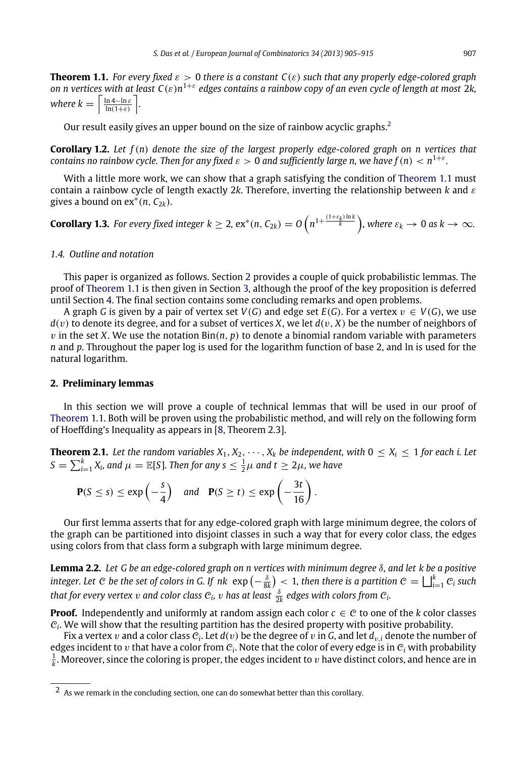<span id="page-2-1"></span>**Theorem 1.1.** *For every fixed*  $\varepsilon > 0$  *there is a constant*  $C(\varepsilon)$  *such that any properly edge-colored graph on n vertices with at least C*(ε)*n* 1+ε *edges contains a rainbow copy of an even cycle of length at most* 2*k, where k* =  $\left\lceil \frac{\ln 4 - \ln \varepsilon}{\ln(1+\varepsilon)} \right\rceil$ *.* 

Our result easily gives an upper bound on the size of rainbow acyclic graphs.<sup>[2](#page-2-0)</sup>

**Corollary 1.2.** *Let f*(*n*) *denote the size of the largest properly edge-colored graph on n vertices that contains no rainbow cycle. Then for any fixed*  $\varepsilon > 0$  *and sufficiently large n, we have*  $f(n) < n^{1+\varepsilon}$ *.* 

With a little more work, we can show that a graph satisfying the condition of [Theorem 1.1](#page-2-1) must contain a rainbow cycle of length exactly 2*k*. Therefore, inverting the relationship between *k* and ε gives a bound on  $ex^*(n, C_{2k})$ .

<span id="page-2-5"></span>**Corollary 1.3.** For every fixed integer  $k \geq 2$ ,  $ex^*(n, C_{2k}) = O\left(n^{1+\frac{(1+\varepsilon_k)\ln k}{k}}\right)$ , where  $\varepsilon_k \to 0$  as  $k \to \infty$ .

#### *1.4. Outline and notation*

This paper is organized as follows. Section [2](#page-2-2) provides a couple of quick probabilistic lemmas. The proof of [Theorem 1.1](#page-2-1) is then given in Section [3,](#page-3-0) although the proof of the key proposition is deferred until Section [4.](#page-5-0) The final section contains some concluding remarks and open problems.

A graph *G* is given by a pair of vertex set  $V(G)$  and edge set  $E(G)$ . For a vertex  $v \in V(G)$ , we use  $d(v)$  to denote its degree, and for a subset of vertices *X*, we let  $d(v, X)$  be the number of neighbors of  $v$  in the set *X*. We use the notation  $\text{Bin}(n, p)$  to denote a binomial random variable with parameters *n* and *p*. Throughout the paper log is used for the logarithm function of base 2, and ln is used for the natural logarithm.

#### <span id="page-2-2"></span>**2. Preliminary lemmas**

In this section we will prove a couple of technical lemmas that will be used in our proof of [Theorem 1.1.](#page-2-1) Both will be proven using the probabilistic method, and will rely on the following form of Hoeffding's Inequality as appears in [\[8,](#page-10-8) Theorem 2.3].

**Theorem 2.1.** Let the random variables  $X_1, X_2, \cdots, X_k$  be independent, with  $0 \le X_i \le 1$  for each i. Let  $S = \sum_{i=1}^{k} X_i$ , and  $\mu = \mathbb{E}[S]$ . Then for any  $s \leq \frac{1}{2}\mu$  and  $t \geq 2\mu$ , we have

<span id="page-2-3"></span>
$$
\mathbf{P}(S \le s) \le \exp\left(-\frac{s}{4}\right) \quad \text{and} \quad \mathbf{P}(S \ge t) \le \exp\left(-\frac{3t}{16}\right).
$$

Our first lemma asserts that for any edge-colored graph with large minimum degree, the colors of the graph can be partitioned into disjoint classes in such a way that for every color class, the edges using colors from that class form a subgraph with large minimum degree.

<span id="page-2-4"></span>**Lemma 2.2.** *Let G be an edge-colored graph on n vertices with minimum degree* δ*, and let k be a positive* integer. Let  $C$  be the set of colors in G. If  $n k$   $\exp\left(-\frac{\delta}{8k}\right) < 1$ , then there is a partition  $C = \bigsqcup_{i=1}^k C_i$  such *that for every vertex*  $v$  *and color class*  $c_i$ *,*  $v$  *has at least*  $\frac{\delta}{2k}$  *edges with colors from*  $c_i$ *.* 

**Proof.** Independently and uniformly at random assign each color  $c \in C$  to one of the *k* color classes  $C_i$ . We will show that the resulting partition has the desired property with positive probability.

Fix a vertex  $v$  and a color class  $\mathcal{C}_i$ . Let  $d(v)$  be the degree of  $v$  in  $G$ , and let  $d_{v,i}$  denote the number of edges incident to  $v$  that have a color from  $c_i$ . Note that the color of every edge is in  $c_i$  with probability  $\frac{1}{k}$ . Moreover, since the coloring is proper, the edges incident to  $v$  have distinct colors, and hence are in

<span id="page-2-0"></span><sup>2</sup> As we remark in the concluding section, one can do somewhat better than this corollary.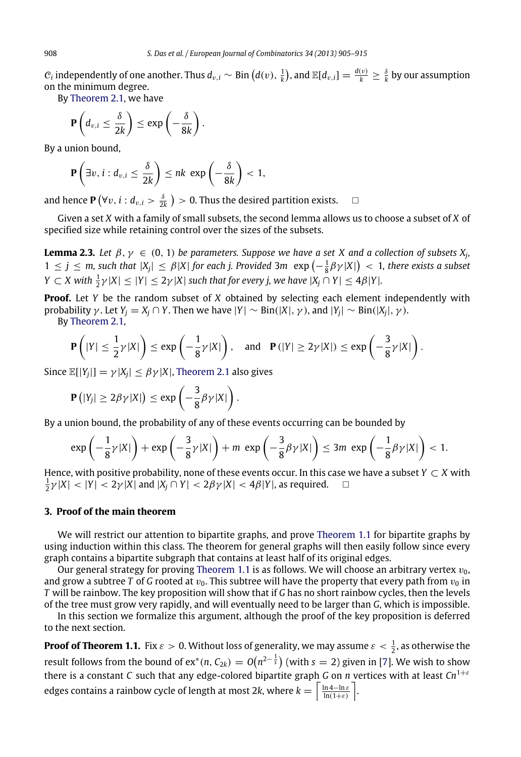$C_i$  independently of one another. Thus  $d_{v,i} \sim \text{Bin}\left(d(v), \frac{1}{k}\right)$ , and  $\mathbb{E}[d_{v,i}] = \frac{d(v)}{k} \geq \frac{\delta}{k}$  by our assumption on the minimum degree.

By [Theorem 2.1,](#page-2-3) we have

$$
\mathbf{P}\left(d_{v,i} \leq \frac{\delta}{2k}\right) \leq \exp\left(-\frac{\delta}{8k}\right).
$$

By a union bound,

$$
\mathbf{P}\left(\exists v, i: d_{v,i} \leq \frac{\delta}{2k}\right) \leq nk \exp\left(-\frac{\delta}{8k}\right) < 1,
$$

and hence  $P(\forall v, i : d_{v,i} > \frac{\delta}{2k}) > 0$ . Thus the desired partition exists.  $\Box$ 

Given a set *X* with a family of small subsets, the second lemma allows us to choose a subset of *X* of specified size while retaining control over the sizes of the subsets.

<span id="page-3-1"></span>**Lemma 2.3.** Let  $\beta, \gamma \in (0, 1)$  be parameters. Suppose we have a set X and a collection of subsets  $X_j$ ,  $1 \leq j \leq m$ , such that  $|X_j| \leq \beta |X|$  for each j. Provided 3 $m \exp\left(-\frac{1}{8}\beta \gamma |X|\right) < 1$ , there exists a subset  $Y \subset X$  with  $\frac{1}{2}\gamma |X| \leq |Y| \leq 2\gamma |X|$  such that for every j, we have  $|X_j \cap Y| \leq 4\beta |Y|$ .

**Proof.** Let *Y* be the random subset of *X* obtained by selecting each element independently with probability  $\gamma$ . Let  $Y_j = X_j \cap Y$ . Then we have  $|Y| \sim Bin(|X|, \gamma)$ , and  $|Y_j| \sim Bin(|X_j|, \gamma)$ .

By [Theorem 2.1,](#page-2-3)

$$
\mathbf{P}\left(|Y| \leq \frac{1}{2}\gamma|X|\right) \leq \exp\left(-\frac{1}{8}\gamma|X|\right), \text{ and } \mathbf{P}(|Y| \geq 2\gamma|X|) \leq \exp\left(-\frac{3}{8}\gamma|X|\right).
$$

Since  $\mathbb{E}[|Y_j|] = \gamma |X_j| \leq \beta \gamma |X|$ , [Theorem 2.1](#page-2-3) also gives

$$
\mathbf{P}\left(|Y_j| \geq 2\beta \gamma |X|\right) \leq \exp\left(-\frac{3}{8}\beta \gamma |X|\right).
$$

By a union bound, the probability of any of these events occurring can be bounded by

$$
\exp\left(-\frac{1}{8}\gamma|X|\right)+\exp\left(-\frac{3}{8}\gamma|X|\right)+m\,\exp\left(-\frac{3}{8}\beta\gamma|X|\right)\leq 3m\,\exp\left(-\frac{1}{8}\beta\gamma|X|\right)<1.
$$

Hence, with positive probability, none of these events occur. In this case we have a subset *Y*  $\subset$  *X* with  $\frac{1}{2}\gamma |X| < |Y| < 2\gamma |X|$  and  $|X_j \cap Y| < 2\beta \gamma |X| < 4\beta |Y|$ , as required.  $\Box$ 

## <span id="page-3-0"></span>**3. Proof of the main theorem**

We will restrict our attention to bipartite graphs, and prove [Theorem 1.1](#page-2-1) for bipartite graphs by using induction within this class. The theorem for general graphs will then easily follow since every graph contains a bipartite subgraph that contains at least half of its original edges.

Our general strategy for proving [Theorem 1.1](#page-2-1) is as follows. We will choose an arbitrary vertex  $v_0$ , and grow a subtree *T* of *G* rooted at  $v_0$ . This subtree will have the property that every path from  $v_0$  in *T* will be rainbow. The key proposition will show that if *G* has no short rainbow cycles, then the levels of the tree must grow very rapidly, and will eventually need to be larger than *G*, which is impossible.

In this section we formalize this argument, although the proof of the key proposition is deferred to the next section.

**Proof of Theorem 1.1.** Fix  $\varepsilon > 0$ . Without loss of generality, we may assume  $\varepsilon < \frac{1}{2}$ , as otherwise the result follows from the bound of ex\*(n,  $\mathcal{C}_{2k})=O\big(n^{2-\frac{1}{S}}\big)$  (with  $s=2)$  given in [\[7\]](#page-10-0). We wish to show there is a constant *C* such that any edge-colored bipartite graph *G* on *n* vertices with at least *Cn*<sup>1</sup>+<sup>ε</sup> edges contains a rainbow cycle of length at most 2k, where  $k = \left\lceil \frac{\ln 4 - \ln \varepsilon}{\ln (1+\varepsilon)} \right\rceil$ .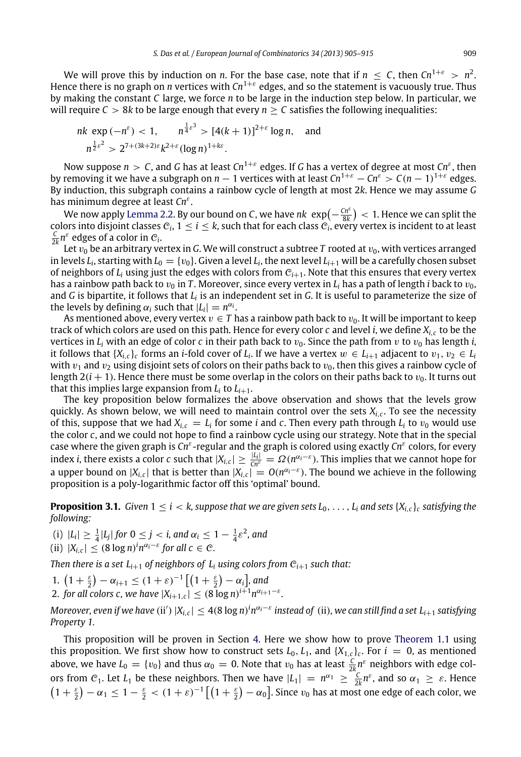We will prove this by induction on *n*. For the base case, note that if  $n \leq C$ , then  $Cn^{1+\varepsilon} > n^2$ . Hence there is no graph on *n* vertices with *Cn*<sup>1</sup>+<sup>ε</sup> edges, and so the statement is vacuously true. Thus by making the constant *C* large, we force *n* to be large in the induction step below. In particular, we will require  $C > 8k$  to be large enough that every  $n > C$  satisfies the following inequalities:

nk exp 
$$
(-n^{\varepsilon}) < 1
$$
,  $n^{\frac{1}{4}\varepsilon^3} > [4(k+1)]^{2+\varepsilon} \log n$ , and  
\n $n^{\frac{1}{2}\varepsilon^2} > 2^{7+(3k+2)\varepsilon} k^{2+\varepsilon} (\log n)^{1+k\varepsilon}$ .

Now suppose  $n>C$ , and  $G$  has at least  $Cn^{1+\varepsilon}$  edges. If  $G$  has a vertex of degree at most  $Cn^\varepsilon$ , then by removing it we have a subgraph on  $n-1$  vertices with at least  $Cn^{1+\varepsilon}-Cn^{\varepsilon} > C(n-1)^{1+\varepsilon}$  edges. By induction, this subgraph contains a rainbow cycle of length at most 2*k*. Hence we may assume *G* has minimum degree at least Cn<sup>e</sup>.

We now apply [Lemma 2.2.](#page-2-4) By our bound on *C*, we have  $nk \exp(-\frac{Cn^{\varepsilon}}{8k}) < 1$ . Hence we can split the colors into disjoint classes  $c_i$ ,  $1 \leq i \leq k$ , such that for each class  $c_i$ , every vertex is incident to at least  $\frac{C}{2k} n^{\varepsilon}$  edges of a color in  $C_i$ .

Let  $v_0$  be an arbitrary vertex in *G*. We will construct a subtree *T* rooted at  $v_0$ , with vertices arranged in levels  $L_i$ , starting with  $L_0 = \{v_0\}$ . Given a level  $L_i$ , the next level  $L_{i+1}$  will be a carefully chosen subset of neighbors of  $L_i$  using just the edges with colors from  $C_{i+1}$ . Note that this ensures that every vertex has a rainbow path back to  $v_0$  in T. Moreover, since every vertex in  $L_i$  has a path of length *i* back to  $v_0$ , and *G* is bipartite, it follows that *L*<sub>i</sub> is an independent set in *G*. It is useful to parameterize the size of the levels by defining  $\alpha_i$  such that  $|L_i| = n^{\alpha_i}$ .

As mentioned above, every vertex  $v \in T$  has a rainbow path back to  $v_0$ . It will be important to keep track of which colors are used on this path. Hence for every color *c* and level *i*, we define *Xi*,*<sup>c</sup>* to be the vertices in  $L_i$  with an edge of color *c* in their path back to  $v_0$ . Since the path from *v* to  $v_0$  has length *i*, it follows that  $\{X_{i,c}\}_c$  forms an *i*-fold cover of  $L_i$ . If we have a vertex  $w \in L_{i+1}$  adjacent to  $v_1, v_2 \in L_i$ with  $v_1$  and  $v_2$  using disjoint sets of colors on their paths back to  $v_0$ , then this gives a rainbow cycle of length  $2(i + 1)$ . Hence there must be some overlap in the colors on their paths back to  $v<sub>0</sub>$ . It turns out that this implies large expansion from  $L_i$  to  $L_{i+1}$ .

The key proposition below formalizes the above observation and shows that the levels grow quickly. As shown below, we will need to maintain control over the sets *Xi*,*<sup>c</sup>* . To see the necessity of this, suppose that we had  $X_{i,c} = L_i$  for some *i* and *c*. Then every path through  $L_i$  to  $v_0$  would use the color *c*, and we could not hope to find a rainbow cycle using our strategy. Note that in the special case where the given graph is *Cn<sup>ε</sup>*-regular and the graph is colored using exactly *Cn<sup>ε</sup>* colors, for every index *i*, there exists a color *c* such that  $|X_{i,c}| \ge \frac{|L_i|}{Cn^{\epsilon}} = \Omega(n^{\alpha_i - \epsilon})$ . This implies that we cannot hope for a upper bound on  $|X_{i,c}|$  that is better than  $|X_{i,c}| = O(n^{\alpha_i - \varepsilon})$ . The bound we achieve in the following proposition is a poly-logarithmic factor off this 'optimal' bound.

<span id="page-4-0"></span>**Proposition 3.1.** *Given*  $1 \leq i < k$ , *suppose that we are given sets*  $L_0, \ldots, L_i$  *and sets*  $\{X_{i,c}\}_c$  *satisfying the following:*

(i)  $|L_i| \ge \frac{1}{4} |L_j|$  for  $0 \le j < i$ , and  $\alpha_i \le 1 - \frac{1}{4} \varepsilon^2$ , and (ii)  $|X_{i,c}| \le (8 \log n)^i n^{\alpha_i - \varepsilon}$  for all  $c \in \mathcal{C}$ *.* 

*Then there is a set*  $L_{i+1}$  *of neighbors of*  $L_i$  *using colors from*  $C_{i+1}$  *such that:* 

1.  $(1 + \frac{\varepsilon}{2}) - \alpha_{i+1} \le (1 + \varepsilon)^{-1} \left[ (1 + \frac{\varepsilon}{2}) - \alpha_i \right]$ , and 2. *for all colors c, we have*  $|X_{i+1,c}| \leq (8 \log n)^{i+1} n^{\alpha_{i+1}-\varepsilon}$ *.* 

Moreover, even if we have (ii′)  $|X_{i,c}| \leq 4(8\log n)^i n^{\alpha_i-\varepsilon}$  instead of (ii), we can still find a set L<sub>i+1</sub> satisfying *Property 1.*

This proposition will be proven in Section [4.](#page-5-0) Here we show how to prove [Theorem 1.1](#page-2-1) using this proposition. We first show how to construct sets  $L_0$ ,  $L_1$ , and  $\{X_{1,c}\}_c$ . For  $i = 0$ , as mentioned above, we have  $L_0 = \{v_0\}$  and thus  $\alpha_0 = 0$ . Note that  $v_0$  has at least  $\frac{C}{2k} n^{\epsilon}$  neighbors with edge colors from  $C_1$ . Let  $L_1$  be these neighbors. Then we have  $|L_1| = n^{\alpha_1} \ge \frac{C}{2k} n^{\varepsilon}$ , and so  $\alpha_1 \ge \varepsilon$ . Hence  $\left(1+\frac{\varepsilon}{2}\right)-\alpha_1\leq 1-\frac{\varepsilon}{2}<(1+\varepsilon)^{-1}\left[\left(1+\frac{\varepsilon}{2}\right)-\alpha_0\right]$ . Since  $v_0$  has at most one edge of each color, we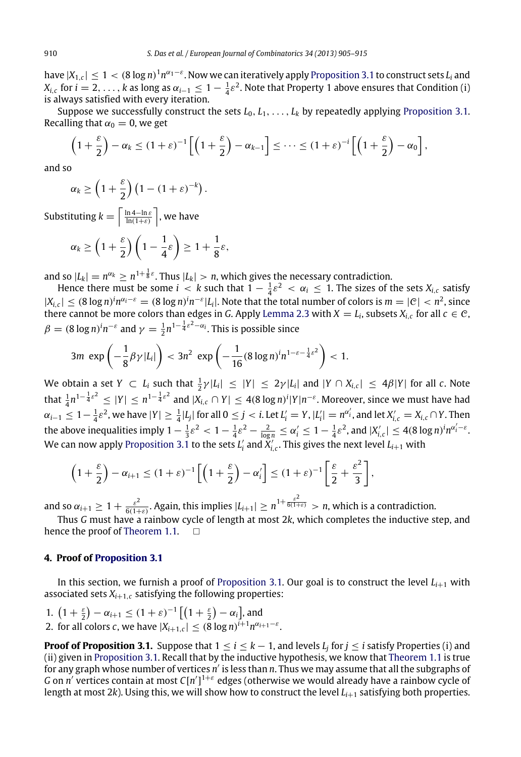have  $|X_{1,c}|\leq 1 < (8\log n)^1 n^{\alpha_1-\varepsilon}.$  Now we can iteratively apply [Proposition 3.1](#page-4-0) to construct sets  $L_i$  and  $X_{i,c}$  for  $i=2,\ldots,k$  as long as  $\alpha_{i-1}\leq 1-\frac{1}{4}\varepsilon^2.$  Note that Property 1 above ensures that Condition (i) is always satisfied with every iteration.

Suppose we successfully construct the sets  $L_0, L_1, \ldots, L_k$  by repeatedly applying [Proposition 3.1.](#page-4-0) Recalling that  $\alpha_0 = 0$ , we get

$$
\left(1+\frac{\varepsilon}{2}\right)-\alpha_k\leq (1+\varepsilon)^{-1}\left[\left(1+\frac{\varepsilon}{2}\right)-\alpha_{k-1}\right]\leq \cdots\leq (1+\varepsilon)^{-i}\left[\left(1+\frac{\varepsilon}{2}\right)-\alpha_0\right],
$$

and so

$$
\alpha_k \ge \left(1+\frac{\varepsilon}{2}\right)\left(1-(1+\varepsilon)^{-k}\right).
$$

Substituting  $k = \left\lceil \frac{\ln 4 - \ln \varepsilon}{\ln (1+\varepsilon)} \right\rceil$ , we have

$$
\alpha_k \ge \left(1+\frac{\varepsilon}{2}\right)\left(1-\frac{1}{4}\varepsilon\right) \ge 1+\frac{1}{8}\varepsilon,
$$

and so  $|L_k| = n^{\alpha_k} \ge n^{1 + \frac{1}{8}\varepsilon}$ . Thus  $|L_k| > n$ , which gives the necessary contradiction.

Hence there must be some  $i < k$  such that  $1 - \frac{1}{4}\varepsilon^2 < \alpha_i \leq 1$ . The sizes of the sets  $X_{i,c}$  satisfy  $|X_{i,c}| \leq (8 \log n)^i n^{\alpha_i-\varepsilon} = (8 \log n)^i n^{-\varepsilon} |L_i|$ . Note that the total number of colors is  $m = |\mathcal{C}| < n^2$ , since there cannot be more colors than edges in *G*. Apply [Lemma 2.3](#page-3-1) with  $X = L_i$ , subsets  $X_{i,c}$  for all  $c \in \mathcal{C}$ ,  $\beta = (8 \log n)^i n^{-\varepsilon}$  and  $\gamma = \frac{1}{2} n^{1-\frac{1}{4}\varepsilon^2 - \alpha_i}$ . This is possible since

$$
3m \exp\left(-\frac{1}{8}\beta\gamma|L_i|\right) < 3n^2 \exp\left(-\frac{1}{16}(8\log n)^i n^{1-\varepsilon-\frac{1}{4}\varepsilon^2}\right) < 1.
$$

We obtain a set  $Y \subset L_i$  such that  $\frac{1}{2} \gamma |L_i| \leq |Y| \leq 2\gamma |L_i|$  and  $|Y \cap X_{i,c}| \leq 4\beta |Y|$  for all  $c$ . Note that  $\frac{1}{4}n^{1-\frac{1}{4}\varepsilon^2} \leq |Y| \leq n^{1-\frac{1}{4}\varepsilon^2}$  and  $|X_{i,\varepsilon} \cap Y| \leq 4(8\log n)^i|Y|n^{-\varepsilon}$ . Moreover, since we must have had  $\alpha_{i-1}\leq 1-\frac{1}{4}\varepsilon^2$ , we have  $|Y|\geq \frac{1}{4}|L_j|$  for all  $0\leq j< i.$  Let  $L'_i=Y$ ,  $|L'_i|=n^{\alpha'_i}$ , and let  $X'_{i,c}=X_{i,c}\cap Y.$  Then the above inequalities imply  $1 - \frac{1}{3} \varepsilon^2 < 1 - \frac{1}{4} \varepsilon^2 - \frac{2}{\log n} \le \alpha'_i \le 1 - \frac{1}{4} \varepsilon^2$ , and  $|X'_{i,\varepsilon}| \le 4(8 \log n)^i n^{\alpha'_i - \varepsilon}$ . We can now apply [Proposition 3.1](#page-4-0) to the sets  $L'_i$  and  $\breve{X}'_{i,c}$ . This gives the next level  $L_{i+1}$  with

$$
\left(1+\frac{\varepsilon}{2}\right)-\alpha_{i+1}\leq (1+\varepsilon)^{-1}\left[\left(1+\frac{\varepsilon}{2}\right)-\alpha_i'\right]\leq (1+\varepsilon)^{-1}\left[\frac{\varepsilon}{2}+\frac{\varepsilon^2}{3}\right],
$$

and so  $\alpha_{i+1}\geq 1+\frac{\varepsilon^2}{6(1+\varepsilon)}$ . Again, this implies  $|L_{i+1}|\geq n^{1+\frac{\varepsilon^2}{6(1+\varepsilon)}}>n$ , which is a contradiction.

Thus *G* must have a rainbow cycle of length at most 2*k*, which completes the inductive step, and hence the proof of [Theorem 1.1.](#page-2-1)  $\square$ 

#### <span id="page-5-0"></span>**4. Proof of [Proposition 3.1](#page-4-0)**

In this section, we furnish a proof of [Proposition 3.1.](#page-4-0) Our goal is to construct the level  $L_{i+1}$  with associated sets  $X_{i+1,c}$  satisfying the following properties:

.

1. 
$$
(1 + \frac{\varepsilon}{2}) - \alpha_{i+1} \leq (1 + \varepsilon)^{-1} \left[ \left( 1 + \frac{\varepsilon}{2} \right) - \alpha_i \right]
$$
, and \n2. for all colors *c*, we have  $|X_{i+1,c}| \leq (8 \log n)^{i+1} n^{\alpha_{i+1}-\varepsilon}$ 

**Proof of Proposition 3.1.** Suppose that  $1 \leq i \leq k-1$ , and levels  $L_j$  for  $j \leq i$  satisfy Properties (i) and (ii) given in [Proposition 3.1.](#page-4-0) Recall that by the inductive hypothesis, we know that [Theorem 1.1](#page-2-1) is true for any graph whose number of vertices *n'* is less than *n*. Thus we may assume that all the subgraphs of *G* on *n'* vertices contain at most *C*[*n'*]<sup>1+ε</sup> edges (otherwise we would already have a rainbow cycle of length at most 2*k*). Using this, we will show how to construct the level *Li*+<sup>1</sup> satisfying both properties.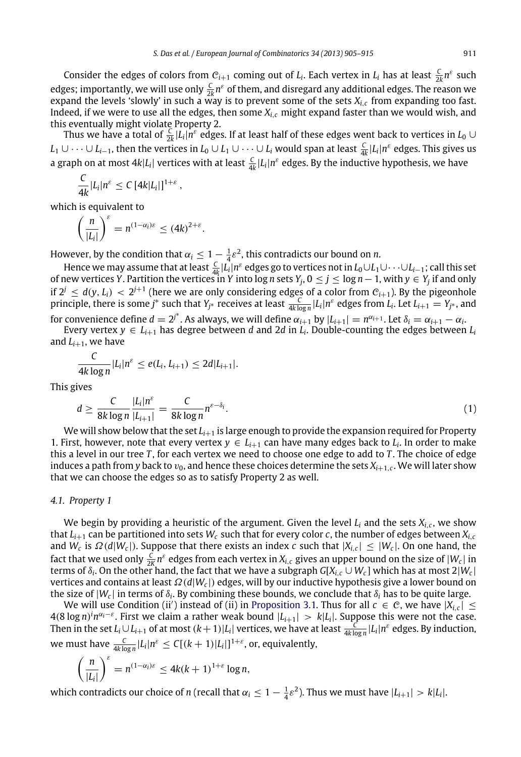Consider the edges of colors from  $C_{i+1}$  coming out of  $L_i$ . Each vertex in  $L_i$  has at least  $\frac{C}{2k}n^{\varepsilon}$  such edges; importantly, we will use only  $\frac{C}{2k}n^{\varepsilon}$  of them, and disregard any additional edges. The reason we 2*k* expand the levels 'slowly' in such a way is to prevent some of the sets *Xi*,*<sup>c</sup>* from expanding too fast. Indeed, if we were to use all the edges, then some *Xi*,*<sup>c</sup>* might expand faster than we would wish, and this eventually might violate Property 2.

Thus we have a total of  $\frac{C}{2k}|L_i|n^{\varepsilon}$  edges. If at least half of these edges went back to vertices in  $L_0\cup$ *L*<sub>1</sub> ∪ · · · ∪ *L*<sub>*i*−1</sub>, then the vertices in *L*<sub>0</sub> ∪ *L*<sub>1</sub> ∪ · · · ∪ *L*<sub>*i*</sub> would span at least  $\frac{C}{4k}$  |*L*<sub>i</sub>| $n^{\varepsilon}$  edges. This gives us a graph on at most  $4k|L_i|$  vertices with at least  $\frac{C}{4k}|L_i|n^{\varepsilon}$  edges. By the inductive hypothesis, we have

$$
\frac{C}{4k}|L_i|n^{\varepsilon} \leq C\left[4k|L_i|\right]^{1+\varepsilon},
$$

which is equivalent to

$$
\left(\frac{n}{|L_i|}\right)^{\varepsilon}=n^{(1-\alpha_i)\varepsilon}\leq (4k)^{2+\varepsilon}.
$$

However, by the condition that  $\alpha_i \leq 1 - \frac{1}{4} \varepsilon^2$ , this contradicts our bound on *n*.

Hence we may assume that at least  $\frac{C}{4k}|L_i|n^{\varepsilon}$  edges go to vertices not in  $L_0\cup L_1\cup\cdots\cup L_{i-1}$ ; call this set of new vertices *Y*. Partition the vertices in *Y* into log *n* sets *Y<sub>j</sub>*,  $0 \le j \le \log n - 1$ , with  $y \in Y_j$  if and only if  $2^j \leq d(y, L_i) < 2^{j+1}$  (here we are only considering edges of a color from  $C_{i+1}$ ). By the pigeonhole principle, there is some *j*<sup>\*</sup> such that  $Y_{j^*}$  receives at least  $\frac{C}{4k\log n}|L_i|n^{\varepsilon}$  edges from  $L_i$ . Let  $L_{i+1} = Y_{j^*}$ , and for convenience define  $d = 2^{j^*}$ . As always, we will define  $\alpha_{i+1}$  by  $|L_{i+1}| = n^{\alpha_{i+1}}$ . Let  $\delta_i = \alpha_{i+1} - \alpha_i$ .

Every vertex  $y \in L_{i+1}$  has degree between *d* and 2*d* in  $L_i$ . Double-counting the edges between  $L_i$ and  $L_{i+1}$ , we have

$$
\frac{C}{4k\log n}|L_i|n^{\varepsilon} \leq e(L_i,L_{i+1}) \leq 2d|L_{i+1}|.
$$

This gives

<span id="page-6-0"></span>
$$
d \ge \frac{C}{8k \log n} \frac{|L_i| n^{\varepsilon}}{|L_{i+1}|} = \frac{C}{8k \log n} n^{\varepsilon - \delta_i}.
$$
\n(1)

We will show below that the set *Li*+<sup>1</sup> is large enough to provide the expansion required for Property 1. First, however, note that every vertex  $y \in L_{i+1}$  can have many edges back to  $L_i$ . In order to make this a level in our tree *T* , for each vertex we need to choose one edge to add to *T* . The choice of edge induces a path from *y* back to  $v_0$ , and hence these choices determine the sets  $X_{i+1,c}$ . We will later show that we can choose the edges so as to satisfy Property 2 as well.

#### <span id="page-6-1"></span>*4.1. Property 1*

We begin by providing a heuristic of the argument. Given the level *L<sup>i</sup>* and the sets *Xi*,*<sup>c</sup>* , we show that  $L_{i+1}$  can be partitioned into sets  $W_c$  such that for every color *c*, the number of edges between  $X_{i,c}$ and  $W_c$  is  $\Omega(d|W_c|)$ . Suppose that there exists an index *c* such that  $|X_{i,c}| \leq |W_c|$ . On one hand, the fact that we used only  $\frac{C}{2K}n^{\epsilon}$  edges from each vertex in  $X_{i,c}$  gives an upper bound on the size of  $|W_c|$  in terms of  $\delta_i$ . On the other hand, the fact that we have a subgraph  $G[X_{i,c} \cup W_c]$  which has at most 2|W<sub>c</sub>| vertices and contains at least Ω(*d*|*W<sup>c</sup>* |) edges, will by our inductive hypothesis give a lower bound on the size of  $|W_c|$  in terms of  $\delta_i$ . By combining these bounds, we conclude that  $\delta_i$  has to be quite large.

We will use Condition (ii') instead of (ii) in [Proposition 3.1.](#page-4-0) Thus for all  $c \in C$ , we have  $|X_{i,c}| \le$  $4(8 \log n)^i n^{\alpha_i - \varepsilon}$ . First we claim a rather weak bound  $|L_{i+1}| > k |L_i|$ . Suppose this were not the case. Then in the set  $L_i\cup L_{i+1}$  of at most  $(k+1)|L_i|$  vertices, we have at least  $\frac{C}{4k\log n}|L_i|n^\varepsilon$  edges. By induction, we must have  $\frac{C}{4k\log n}|L_i|n^{\varepsilon} \leq C[(k+1)|L_i|]^{1+\varepsilon}$ , or, equivalently,

$$
\left(\frac{n}{|L_i|}\right)^{\varepsilon} = n^{(1-\alpha_i)\varepsilon} \leq 4k(k+1)^{1+\varepsilon} \log n,
$$

which contradicts our choice of *n* (recall that  $\alpha_i \leq 1 - \frac{1}{4}\varepsilon^2$ ). Thus we must have  $|L_{i+1}| > k|L_i|$ .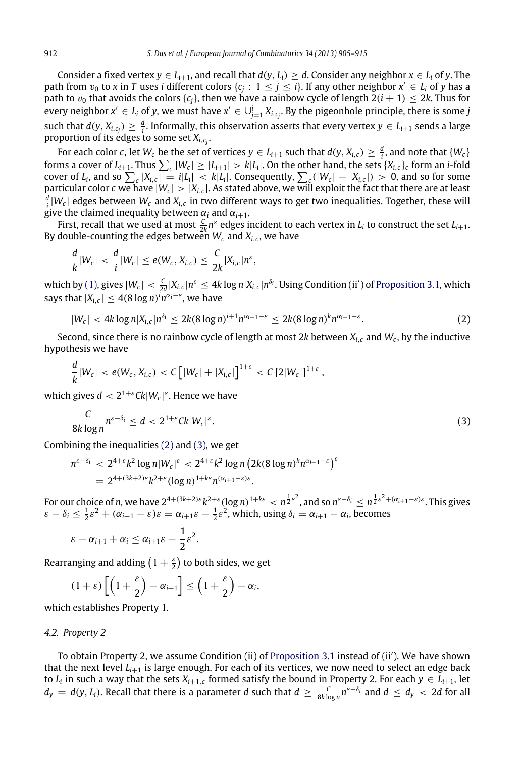Consider a fixed vertex  $y \in L_{i+1}$ , and recall that  $d(y, L_i) \ge d$ . Consider any neighbor  $x \in L_i$  of *y*. The path from  $v_0$  to  $x$  in  $T$  uses  $i$  different colors  $\{c_j : 1 \leq j \leq i\}$ . If any other neighbor  $x' \in L_i$  of  $y$  has a path to  $v_0$  that avoids the colors  $\{c_i\}$ , then we have a rainbow cycle of length  $2(i + 1) \leq 2k$ . Thus for every neighbor  $x' \in L_i$  of  $y$ , we must have  $x' \in \cup_{j=1}^i X_{i,c_j}.$  By the pigeonhole principle, there is some  $j$ such that  $d(y, X_{i,c_j}) \geq \frac{d}{i}.$  Informally, this observation asserts that every vertex  $y \in L_{i+1}$  sends a large proportion of its edges to some set  $X_{i,c_j}$ .

For each color  $c$ , let  $W_c$  be the set of vertices  $y\in L_{i+1}$  such that  $d(y,X_{i,c})\geq \frac{d}{i}$ , and note that  $\{W_c\}$ forms a cover of  $L_{i+1}$ . Thus  $\sum_{c} |W_c| \ge |L_{i+1}| > k|L_i|$ . On the other hand, the sets  $\{X_{i,c}\}_c$  form an *i*-fold cover of  $L_i$ , and so  $\sum_c |X_{i,c}| = i|L_i| < k|L_i|$ . Consequently,  $\sum_c (|W_c| - |X_{i,c}|) > 0$ , and so for some particular color  $c$  we have  $|W_c|>|X_{i,c}|.$  As stated above, we will exploit the fact that there are at least  $\frac{d}{i} |W_c|$  edges between  $W_c$  and  $X_{i,c}$  in two different ways to get two inequalities. Together, these will give the claimed inequality between  $\alpha_i$  and  $\alpha_{i+1}$ .

First, recall that we used at most  $\frac{C}{2k}n^{\varepsilon}$  edges incident to each vertex in  $L_i$  to construct the set  $L_{i+1}.$ By double-counting the edges between  $W_c$  and  $X_{i,c}$ , we have

$$
\frac{d}{k}|W_c| < \frac{d}{i}|W_c| \leq e(W_c, X_{i,c}) \leq \frac{C}{2k}|X_{i,c}|n^{\varepsilon},
$$

which by [\(1\),](#page-6-0) gives  $|W_c|<\frac{C}{2d}|X_{i,c}|n^{\varepsilon}\leq 4k\log n|X_{i,c}|n^{\delta_i}.$  Using Condition (ii′) of [Proposition 3.1,](#page-4-0) which says that  $|X_{i,c}| \leq 4(8 \log n)^i n^{\alpha_i - \varepsilon}$ , we have

<span id="page-7-0"></span>
$$
|W_c| < 4k \log n |X_{i,c}| n^{\delta_i} \leq 2k (8 \log n)^{i+1} n^{\alpha_{i+1}-\varepsilon} \leq 2k (8 \log n)^k n^{\alpha_{i+1}-\varepsilon}.
$$
 (2)

Second, since there is no rainbow cycle of length at most 2*k* between *Xi*,*<sup>c</sup>* and *W<sup>c</sup>* , by the inductive hypothesis we have

$$
\frac{d}{k}|W_c| < e(W_c, X_{i,c}) < C \left[|W_c| + |X_{i,c}|\right]^{1+\varepsilon} < C \left[2|W_c|\right]^{1+\varepsilon},
$$

which gives  $d < 2^{1+\varepsilon} C k |W_c|^{\varepsilon}$ . Hence we have

<span id="page-7-1"></span>
$$
\frac{C}{8k\log n}n^{\varepsilon-\delta_i} \leq d < 2^{1+\varepsilon}Ck|W_c|^{\varepsilon}.\tag{3}
$$

Combining the inequalities [\(2\)](#page-7-0) and [\(3\),](#page-7-1) we get

$$
n^{\varepsilon-\delta_i} < 2^{4+\varepsilon} k^2 \log n |W_c|^{\varepsilon} < 2^{4+\varepsilon} k^2 \log n (2k(8 \log n)^k n^{\alpha_{i+1}-\varepsilon})^{\varepsilon}
$$
  
=  $2^{4+(3k+2)\varepsilon} k^{2+\varepsilon} (\log n)^{1+k\varepsilon} n^{(\alpha_{i+1}-\varepsilon)\varepsilon}.$ 

For our choice of *n*, we have  $2^{4+(3k+2)\varepsilon}k^{2+\varepsilon}(\log n)^{1+k\varepsilon} < n^{\frac12\varepsilon^2}$ , and so  $n^{\varepsilon-\delta_i} \le n^{\frac12\varepsilon^2+(\alpha_{i+1}-\varepsilon)\varepsilon}.$  This gives  $\varepsilon - \delta_i \le \frac{1}{2}\varepsilon^2 + (\alpha_{i+1} - \varepsilon)\varepsilon = \alpha_{i+1}\varepsilon - \frac{1}{2}\varepsilon^2$ , which, using  $\delta_i = \alpha_{i+1} - \alpha_i$ , becomes

$$
\varepsilon-\alpha_{i+1}+\alpha_i\leq \alpha_{i+1}\varepsilon-\frac{1}{2}\varepsilon^2.
$$

Rearranging and adding  $\left(1+\frac{\varepsilon}{2}\right)$  to both sides, we get

$$
(1+\varepsilon)\left[\left(1+\frac{\varepsilon}{2}\right)-\alpha_{i+1}\right] \leq \left(1+\frac{\varepsilon}{2}\right)-\alpha_i,
$$

which establishes Property 1.

#### *4.2. Property 2*

To obtain Property 2, we assume Condition (ii) of [Proposition 3.1](#page-4-0) instead of (ii′ ). We have shown that the next level  $L_{i+1}$  is large enough. For each of its vertices, we now need to select an edge back to  $L_i$  in such a way that the sets  $X_{i+1,c}$  formed satisfy the bound in Property 2. For each  $y \in L_{i+1}$ , let  $d_y = d(y, L_i)$ . Recall that there is a parameter *d* such that  $d \geq \frac{C}{8k\log n} n^{\varepsilon-\delta_i}$  and  $d \leq d_y < 2d$  for all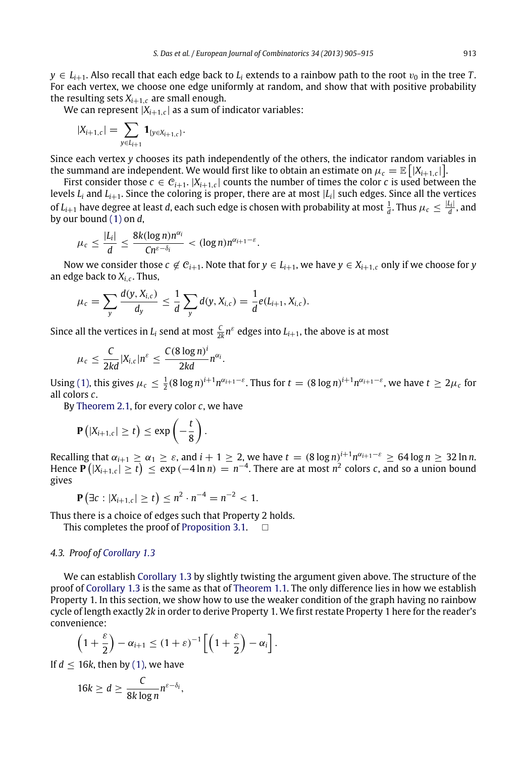$y \in L_{i+1}$ . Also recall that each edge back to  $L_i$  extends to a rainbow path to the root  $v_0$  in the tree *T*. For each vertex, we choose one edge uniformly at random, and show that with positive probability the resulting sets  $X_{i+1,c}$  are small enough.

We can represent |*Xi*+1,*<sup>c</sup>* | as a sum of indicator variables: .

$$
|X_{i+1,c}| = \sum_{y \in L_{i+1}} \mathbf{1}_{\{y \in X_{i+1,c}\}}
$$

Since each vertex *y* chooses its path independently of the others, the indicator random variables in the summand are independent. We would first like to obtain an estimate on  $\mu_c = \mathbb{E}\left[|X_{i+1,c}|\right]$ .

First consider those  $c \in C_{i+1}$ .  $|X_{i+1,c}|$  counts the number of times the color  $c$  is used between the levels *L<sup>i</sup>* and *Li*+1. Since the coloring is proper, there are at most |*L<sup>i</sup>* | such edges. Since all the vertices of  $L_{i+1}$  have degree at least *d*, each such edge is chosen with probability at most  $\frac{1}{d}$ . Thus  $\mu_c \leq \frac{|L_i|}{d}$  $\frac{u_{11}}{d}$ , and by our bound [\(1\)](#page-6-0) on *d*,

$$
\mu_c \leq \frac{|L_i|}{d} \leq \frac{8k(\log n)n^{\alpha_i}}{Cn^{\varepsilon-\delta_i}} < (\log n)n^{\alpha_{i+1}-\varepsilon}.
$$

Now we consider those  $c \notin C_{i+1}$ . Note that for  $y \in L_{i+1}$ , we have  $y \in X_{i+1,c}$  only if we choose for *y* an edge back to *Xi*,*<sup>c</sup>* . Thus,

$$
\mu_c = \sum_{y} \frac{d(y, X_{i,c})}{d_y} \leq \frac{1}{d} \sum_{y} d(y, X_{i,c}) = \frac{1}{d} e(L_{i+1}, X_{i,c}).
$$

Since all the vertices in  $L_i$  send at most  $\frac{C}{2k}n^{\varepsilon}$  edges into  $L_{i+1}$ , the above is at most

$$
\mu_c \leq \frac{C}{2kd}|X_{i,c}|n^{\varepsilon} \leq \frac{C(8\log n)^i}{2kd}n^{\alpha_i}.
$$

Using [\(1\),](#page-6-0) this gives  $\mu_c \leq \frac{1}{2} (8 \log n)^{i+1} n^{\alpha_{i+1}-\varepsilon}$ . Thus for  $t = (8 \log n)^{i+1} n^{\alpha_{i+1}-\varepsilon}$ , we have  $t \geq 2\mu_c$  for all colors *c*.

By [Theorem 2.1,](#page-2-3) for every color *c*, we have

$$
\mathbf{P}\left(|X_{i+1,c}| \geq t\right) \leq \exp\left(-\frac{t}{8}\right).
$$

Recalling that  $\alpha_{i+1} \geq \alpha_1 \geq \varepsilon$ , and  $i+1 \geq 2$ , we have  $t = (8 \log n)^{i+1} n^{\alpha_{i+1}-\varepsilon} \geq 64 \log n \geq 32 \ln n$ . Hence  $\mathbf{P}(|X_{i+1,c}| \geq t) \leq \exp(-4 \ln n) = n^{-4}$ . There are at most  $n^2$  colors *c*, and so a union bound gives

$$
\mathbf{P}(\exists c : |X_{i+1,c}| \ge t) \le n^2 \cdot n^{-4} = n^{-2} < 1.
$$

Thus there is a choice of edges such that Property 2 holds.

This completes the proof of [Proposition 3.1.](#page-4-0)

## *4.3. Proof of [Corollary 1.3](#page-2-5)*

We can establish [Corollary 1.3](#page-2-5) by slightly twisting the argument given above. The structure of the proof of [Corollary 1.3](#page-2-5) is the same as that of [Theorem 1.1.](#page-2-1) The only difference lies in how we establish Property 1. In this section, we show how to use the weaker condition of the graph having no rainbow cycle of length exactly 2*k* in order to derive Property 1. We first restate Property 1 here for the reader's convenience:

$$
\left(1+\frac{\varepsilon}{2}\right)-\alpha_{i+1}\leq (1+\varepsilon)^{-1}\left[\left(1+\frac{\varepsilon}{2}\right)-\alpha_i\right].
$$

,

If  $d < 16k$ , then by [\(1\),](#page-6-0) we have

$$
16k \geq d \geq \frac{C}{8k \log n} n^{\varepsilon - \delta_i}
$$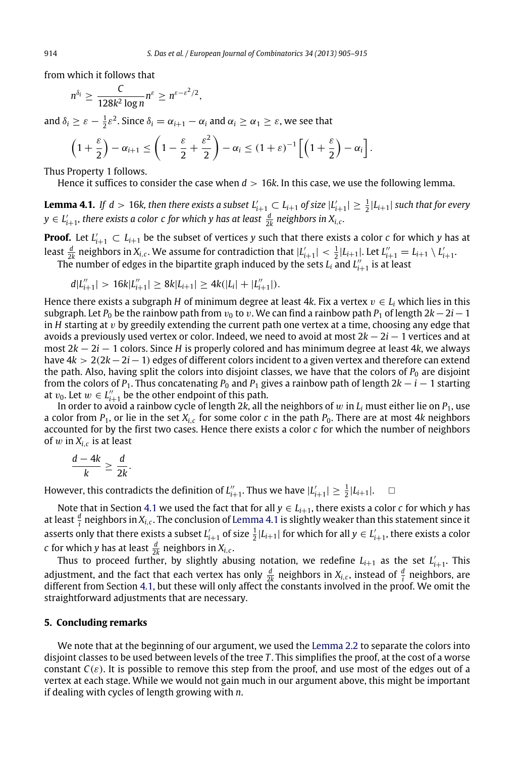from which it follows that

$$
n^{\delta_i} \geq \frac{C}{128k^2\log n} n^{\varepsilon} \geq n^{\varepsilon-\varepsilon^2/2},
$$

and  $\delta_i \geq \varepsilon - \frac{1}{2} \varepsilon^2$ . Since  $\delta_i = \alpha_{i+1} - \alpha_i$  and  $\alpha_i \geq \alpha_1 \geq \varepsilon$ , we see that

$$
\left(1+\frac{\varepsilon}{2}\right)-\alpha_{i+1}\leq\left(1-\frac{\varepsilon}{2}+\frac{\varepsilon^2}{2}\right)-\alpha_i\leq(1+\varepsilon)^{-1}\left[\left(1+\frac{\varepsilon}{2}\right)-\alpha_i\right].
$$

Thus Property 1 follows.

<span id="page-9-0"></span>Hence it suffices to consider the case when  $d > 16k$ . In this case, we use the following lemma.

**Lemma 4.1.** If  $d > 16$ k, then there exists a subset  $L'_{i+1} \subset L_{i+1}$  of size  $|L'_{i+1}| \geq \frac{1}{2}|L_{i+1}|$  such that for every  $y \in L'_{i+1}$ , there exists a color  $c$  for which  $y$  has at least  $\frac{d}{2k}$  neighbors in  $X_{i,c}$ .

**Proof.** Let  $L'_{i+1} \subset L_{i+1}$  be the subset of vertices y such that there exists a color *c* for which *y* has at least  $\frac{d}{2k}$  neighbors in  $X_{i,c}$ . We assume for contradiction that  $|L'_{i+1}| < \frac{1}{2}|L_{i+1}|$ . Let  $L''_{i+1} = L_{i+1} \setminus L'_{i+1}$ . The number of edges in the bipartite graph induced by the sets  $L_i$  and  $L''_{i+1}$  is at least

$$
d|L''_{i+1}| > 16k|L''_{i+1}| \geq 8k|L_{i+1}| \geq 4k(|L_i| + |L''_{i+1}|).
$$

Hence there exists a subgraph *H* of minimum degree at least 4*k*. Fix a vertex  $v \in L_i$  which lies in this subgraph. Let  $P_0$  be the rainbow path from  $v_0$  to v. We can find a rainbow path  $P_1$  of length  $2k-2i-1$ in *H* starting at v by greedily extending the current path one vertex at a time, choosing any edge that avoids a previously used vertex or color. Indeed, we need to avoid at most 2*k* − 2*i* − 1 vertices and at most 2*k* − 2*i* − 1 colors. Since *H* is properly colored and has minimum degree at least 4*k*, we always have 4*k* > 2(2*k*−2*i*−1) edges of different colors incident to a given vertex and therefore can extend the path. Also, having split the colors into disjoint classes, we have that the colors of  $P_0$  are disjoint from the colors of  $P_1$ . Thus concatenating  $P_0$  and  $P_1$  gives a rainbow path of length 2 $k - i - 1$  starting at  $v_0$ . Let  $w \in L''_{i+1}$  be the other endpoint of this path.

In order to avoid a rainbow cycle of length 2k, all the neighbors of  $w$  in  $L_i$  must either lie on  $P_1$ , use a color from *P*1, or lie in the set *Xi*,*<sup>c</sup>* for some color *c* in the path *P*0. There are at most 4*k* neighbors accounted for by the first two cases. Hence there exists a color *c* for which the number of neighbors of w in *Xi*,*<sup>c</sup>* is at least

$$
\frac{d-4k}{k}\geq \frac{d}{2k}.
$$

However, this contradicts the definition of  $L''_{i+1}$ . Thus we have  $|L'_{i+1}| \geq \frac{1}{2}|L_{i+1}|$ .

Note that in Section [4.1](#page-6-1) we used the fact that for all  $y \in L_{i+1}$ , there exists a color *c* for which *y* has at least  $\frac{d}{i}$  neighbors in  $X_{i,c}.$  The conclusion of [Lemma 4.1](#page-9-0) is slightly weaker than this statement since it asserts only that there exists a subset  $L'_{i+1}$  of size  $\frac{1}{2}|L_{i+1}|$  for which for all  $y \in L'_{i+1}$ , there exists a color *c* for which *y* has at least  $\frac{d}{2k}$  neighbors in  $X_{i,c}$ .

Thus to proceed further, by slightly abusing notation, we redefine  $L_{i+1}$  as the set  $L'_{i+1}$ . This adjustment, and the fact that each vertex has only  $\frac{d}{2k}$  neighbors in  $X_{i,c}$ , instead of  $\frac{d}{i}$  neighbors, are different from Section [4.1,](#page-6-1) but these will only affect the constants involved in the proof. We omit the straightforward adjustments that are necessary.

#### **5. Concluding remarks**

We note that at the beginning of our argument, we used the [Lemma 2.2](#page-2-4) to separate the colors into disjoint classes to be used between levels of the tree *T* . This simplifies the proof, at the cost of a worse constant  $C(\varepsilon)$ . It is possible to remove this step from the proof, and use most of the edges out of a vertex at each stage. While we would not gain much in our argument above, this might be important if dealing with cycles of length growing with *n*.